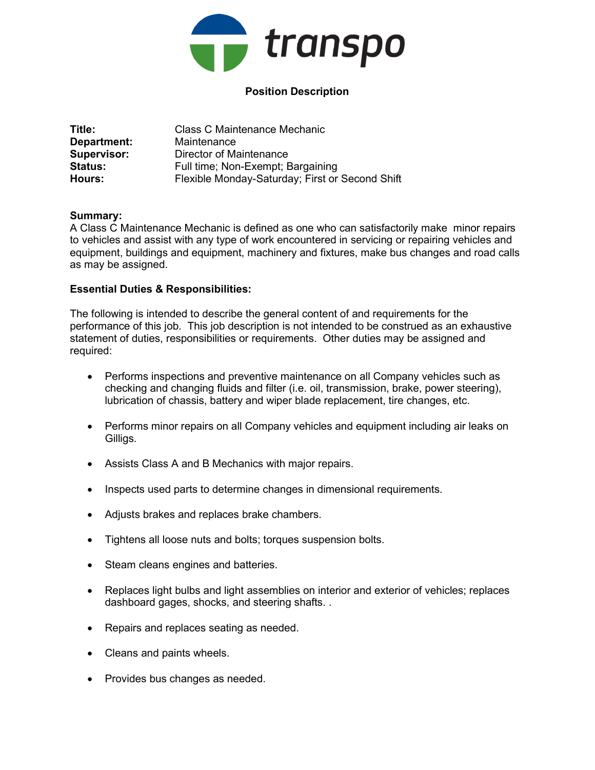

# Position Description

| Title:             | <b>Class C Maintenance Mechanic</b>             |
|--------------------|-------------------------------------------------|
| Department:        | Maintenance                                     |
| <b>Supervisor:</b> | Director of Maintenance                         |
| <b>Status:</b>     | Full time; Non-Exempt; Bargaining               |
| Hours:             | Flexible Monday-Saturday; First or Second Shift |

## Summary:

A Class C Maintenance Mechanic is defined as one who can satisfactorily make minor repairs to vehicles and assist with any type of work encountered in servicing or repairing vehicles and equipment, buildings and equipment, machinery and fixtures, make bus changes and road calls as may be assigned.

## Essential Duties & Responsibilities:

The following is intended to describe the general content of and requirements for the performance of this job. This job description is not intended to be construed as an exhaustive statement of duties, responsibilities or requirements. Other duties may be assigned and required:

- Performs inspections and preventive maintenance on all Company vehicles such as checking and changing fluids and filter (i.e. oil, transmission, brake, power steering), lubrication of chassis, battery and wiper blade replacement, tire changes, etc.
- Performs minor repairs on all Company vehicles and equipment including air leaks on Gilligs.
- Assists Class A and B Mechanics with major repairs.
- Inspects used parts to determine changes in dimensional requirements.
- Adjusts brakes and replaces brake chambers.
- Tightens all loose nuts and bolts; torques suspension bolts.
- Steam cleans engines and batteries.
- Replaces light bulbs and light assemblies on interior and exterior of vehicles; replaces dashboard gages, shocks, and steering shafts. .
- Repairs and replaces seating as needed.
- Cleans and paints wheels.
- Provides bus changes as needed.